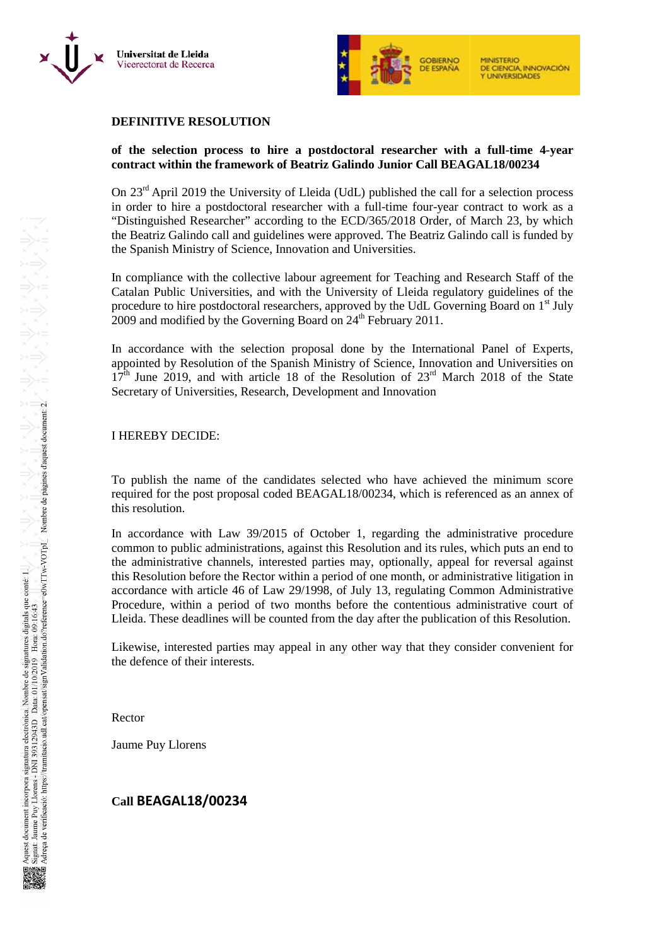



#### **DEFINITIVE RESOLUTION**

## **of the selection process to hire a postdoctoral researcher with a full-time 4-year contract within the framework of Beatriz Galindo Junior Call BEAGAL18/00234**

On 23<sup>rd</sup> April 2019 the University of Lleida (UdL) published the call for a selection process in order to hire a postdoctoral researcher with a full-time four-year contract to work as a "Distinguished Researcher" according to the ECD/365/2018 Order, of March 23, by which the Beatriz Galindo call and guidelines were approved. The Beatriz Galindo call is funded by the Spanish Ministry of Science, Innovation and Universities.

In compliance with the collective labour agreement for Teaching and Research Staff of the Catalan Public Universities, and with the University of Lleida regulatory guidelines of the procedure to hire postdoctoral researchers, approved by the UdL Governing Board on 1<sup>st</sup> July  $2009$  and modified by the Governing Board on  $24<sup>th</sup>$  February 2011.

In accordance with the selection proposal done by the International Panel of Experts, appointed by Resolution of the Spanish Ministry of Science, Innovation and Universities on  $17<sup>th</sup>$  June 2019, and with article 18 of the Resolution of  $23<sup>rd</sup>$  March 2018 of the State Secretary of Universities, Research, Development and Innovation

#### I HEREBY DECIDE:

To publish the name of the candidates selected who have achieved the minimum score required for the post proposal coded BEAGAL18/00234, which is referenced as an annex of this resolution.

In accordance with Law 39/2015 of October 1, regarding the administrative procedure common to public administrations, against this Resolution and its rules, which puts an end to the administrative channels, interested parties may, optionally, appeal for reversal against this Resolution before the Rector within a period of one month, or administrative litigation in accordance with article 46 of Law 29/1998, of July 13, regulating Common Administrative Procedure, within a period of two months before the contentious administrative court of Lleida. These deadlines will be counted from the day after the publication of this Resolution.

Likewise, interested parties may appeal in any other way that they consider convenient for the defence of their interests.

Rector

Jaume Puy Llorens

## **Call BEAGAL18/00234**